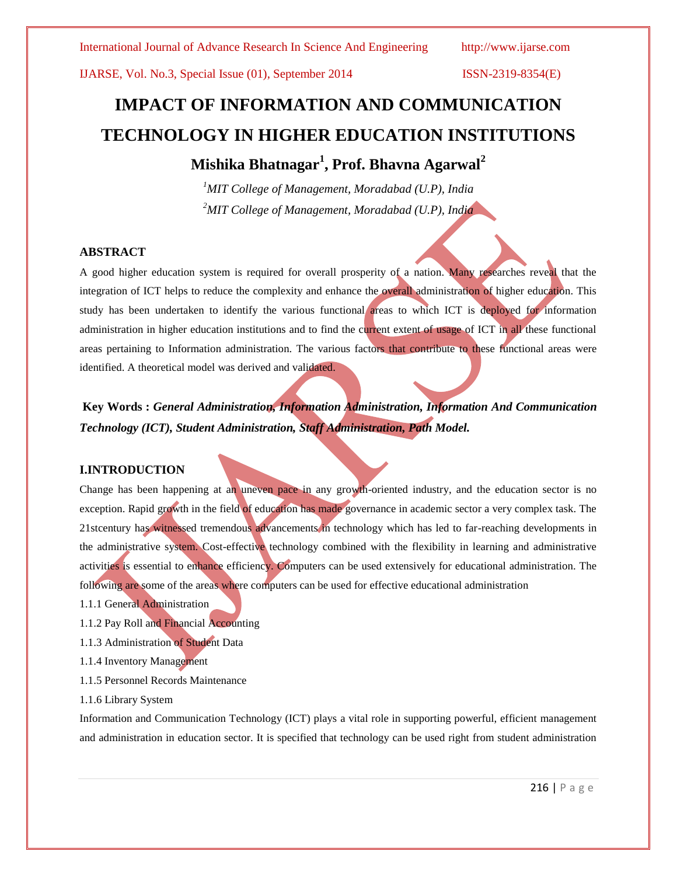# **IMPACT OF INFORMATION AND COMMUNICATION TECHNOLOGY IN HIGHER EDUCATION INSTITUTIONS**

# **Mishika Bhatnagar<sup>1</sup> , Prof. Bhavna Agarwal<sup>2</sup>**

*<sup>1</sup>MIT College of Management, Moradabad (U.P), India <sup>2</sup>MIT College of Management, Moradabad (U.P), India*

### **ABSTRACT**

A good higher education system is required for overall prosperity of a nation. Many researches reveal that the integration of ICT helps to reduce the complexity and enhance the overall administration of higher education. This study has been undertaken to identify the various functional areas to which ICT is deployed for information administration in higher education institutions and to find the current extent of usage of ICT in all these functional areas pertaining to Information administration. The various factors that contribute to these functional areas were identified. A theoretical model was derived and validated.

**Key Words :** *General Administration, Information Administration, Information And Communication Technology (ICT), Student Administration, Staff Administration, Path Model.*

### **I.INTRODUCTION**

Change has been happening at an uneven pace in any growth-oriented industry, and the education sector is no exception. Rapid growth in the field of education has made governance in academic sector a very complex task. The 21stcentury has witnessed tremendous advancements in technology which has led to far-reaching developments in the administrative system. Cost-effective technology combined with the flexibility in learning and administrative activities is essential to enhance efficiency. Computers can be used extensively for educational administration. The following are some of the areas where computers can be used for effective educational administration

- 1.1.1 General Administration
- 1.1.2 Pay Roll and Financial Accounting
- 1.1.3 Administration of Student Data
- 1.1.4 Inventory Management
- 1.1.5 Personnel Records Maintenance
- 1.1.6 Library System

Information and Communication Technology (ICT) plays a vital role in supporting powerful, efficient management and administration in education sector. It is specified that technology can be used right from student administration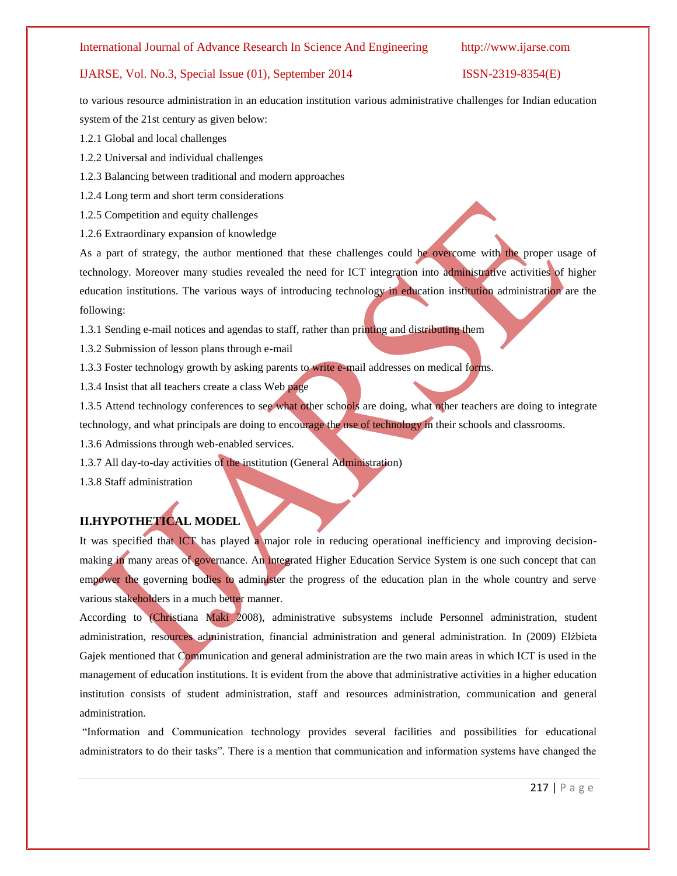to various resource administration in an education institution various administrative challenges for Indian education system of the 21st century as given below:

1.2.1 Global and local challenges

1.2.2 Universal and individual challenges

1.2.3 Balancing between traditional and modern approaches

1.2.4 Long term and short term considerations

1.2.5 Competition and equity challenges

1.2.6 Extraordinary expansion of knowledge

As a part of strategy, the author mentioned that these challenges could be overcome with the proper usage of technology. Moreover many studies revealed the need for ICT integration into administrative activities of higher education institutions. The various ways of introducing technology in education institution administration are the following:

1.3.1 Sending e-mail notices and agendas to staff, rather than printing and distributing them

1.3.2 Submission of lesson plans through e-mail

1.3.3 Foster technology growth by asking parents to write e-mail addresses on medical forms.

1.3.4 Insist that all teachers create a class Web page

1.3.5 Attend technology conferences to see what other schools are doing, what other teachers are doing to integrate technology, and what principals are doing to encourage the use of technology in their schools and classrooms.

1.3.6 Admissions through web-enabled services.

1.3.7 All day-to-day activities of the institution (General Administration)

1.3.8 Staff administration

## **II.HYPOTHETICAL MODEL**

It was specified that ICT has played a major role in reducing operational inefficiency and improving decisionmaking in many areas of governance. An integrated Higher Education Service System is one such concept that can empower the governing bodies to administer the progress of the education plan in the whole country and serve various stakeholders in a much better manner.

According to (Christiana Maki 2008), administrative subsystems include Personnel administration, student administration, resources administration, financial administration and general administration. In (2009) Elżbieta Gajek mentioned that Communication and general administration are the two main areas in which ICT is used in the management of education institutions. It is evident from the above that administrative activities in a higher education institution consists of student administration, staff and resources administration, communication and general administration.

"Information and Communication technology provides several facilities and possibilities for educational administrators to do their tasks". There is a mention that communication and information systems have changed the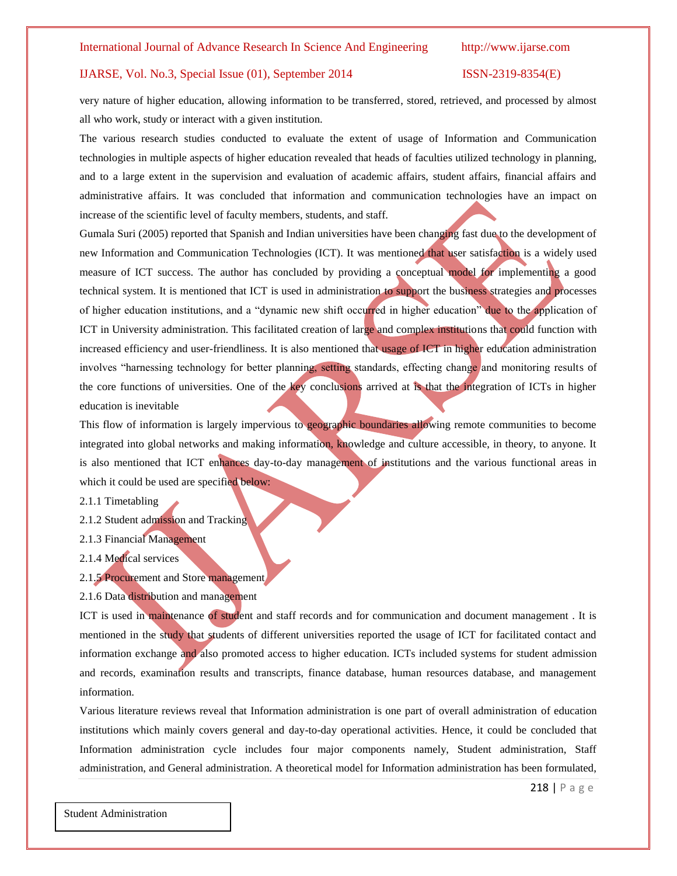very nature of higher education, allowing information to be transferred, stored, retrieved, and processed by almost all who work, study or interact with a given institution.

The various research studies conducted to evaluate the extent of usage of Information and Communication technologies in multiple aspects of higher education revealed that heads of faculties utilized technology in planning, and to a large extent in the supervision and evaluation of academic affairs, student affairs, financial affairs and administrative affairs. It was concluded that information and communication technologies have an impact on increase of the scientific level of faculty members, students, and staff.

Gumala Suri (2005) reported that Spanish and Indian universities have been changing fast due to the development of new Information and Communication Technologies (ICT). It was mentioned that user satisfaction is a widely used measure of ICT success. The author has concluded by providing a conceptual model for implementing a good technical system. It is mentioned that ICT is used in administration to support the business strategies and processes of higher education institutions, and a "dynamic new shift occurred in higher education" due to the application of ICT in University administration. This facilitated creation of large and complex institutions that could function with increased efficiency and user-friendliness. It is also mentioned that usage of ICT in higher education administration involves "harnessing technology for better planning, setting standards, effecting change and monitoring results of the core functions of universities. One of the key conclusions arrived at is that the integration of ICTs in higher education is inevitable

This flow of information is largely impervious to geographic boundaries allowing remote communities to become integrated into global networks and making information, knowledge and culture accessible, in theory, to anyone. It is also mentioned that ICT enhances day-to-day management of institutions and the various functional areas in which it could be used are specified below:

2.1.1 Timetabling

- 2.1.2 Student admission and Tracking
- 2.1.3 Financial Management
- 2.1.4 Medical services
- 2.1.5 Procurement and Store management
- 2.1.6 Data distribution and management

ICT is used in maintenance of student and staff records and for communication and document management . It is mentioned in the study that students of different universities reported the usage of ICT for facilitated contact and information exchange and also promoted access to higher education. ICTs included systems for student admission and records, examination results and transcripts, finance database, human resources database, and management information.

Various literature reviews reveal that Information administration is one part of overall administration of education institutions which mainly covers general and day-to-day operational activities. Hence, it could be concluded that Information administration cycle includes four major components namely, Student administration, Staff administration, and General administration. A theoretical model for Information administration has been formulated,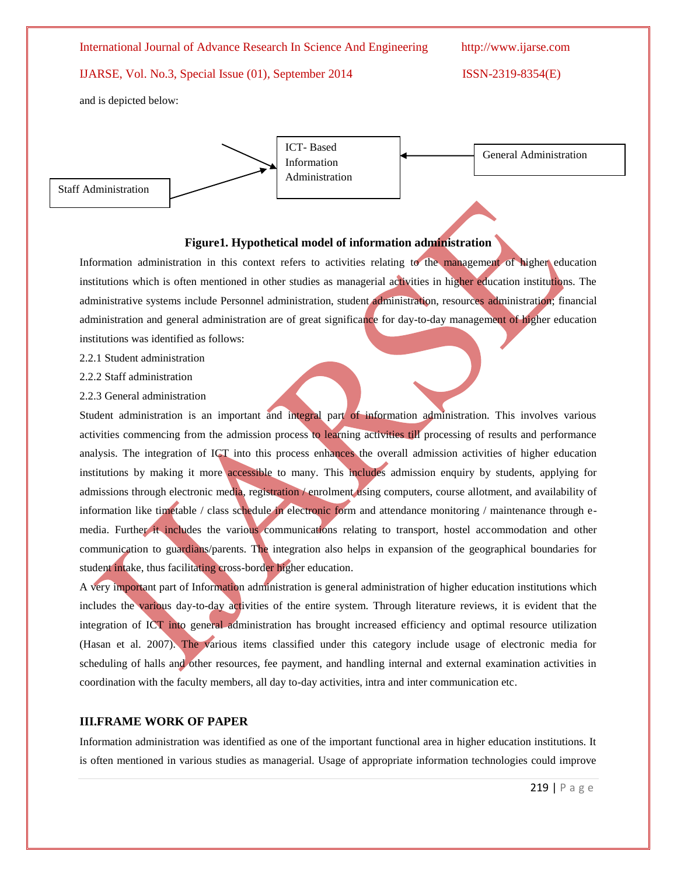International Journal of Advance Research In Science And Engineering http://www.ijarse.com

### IJARSE, Vol. No.3, Special Issue (01), September 2014 ISSN-2319-8354(E)

and is depicted below:



ICT- Based Information Administration

General Administration

### **Figure1. Hypothetical model of information administration**

Information administration in this context refers to activities relating to the management of higher education institutions which is often mentioned in other studies as managerial activities in higher education institutions. The administrative systems include Personnel administration, student administration, resources administration; financial administration and general administration are of great significance for day-to-day management of higher education institutions was identified as follows:

2.2.1 Student administration

2.2.2 Staff administration

2.2.3 General administration

Student administration is an important and integral part of information administration. This involves various activities commencing from the admission process to learning activities till processing of results and performance analysis. The integration of ICT into this process enhances the overall admission activities of higher education institutions by making it more accessible to many. This includes admission enquiry by students, applying for admissions through electronic media, registration / enrolment using computers, course allotment, and availability of information like timetable / class schedule in electronic form and attendance monitoring / maintenance through emedia. Further it includes the various communications relating to transport, hostel accommodation and other communication to guardians/parents. The integration also helps in expansion of the geographical boundaries for student intake, thus facilitating cross-border higher education.

A very important part of Information administration is general administration of higher education institutions which includes the various day-to-day activities of the entire system. Through literature reviews, it is evident that the integration of ICT into general administration has brought increased efficiency and optimal resource utilization (Hasan et al. 2007). The various items classified under this category include usage of electronic media for scheduling of halls and other resources, fee payment, and handling internal and external examination activities in coordination with the faculty members, all day to-day activities, intra and inter communication etc.

#### **III.FRAME WORK OF PAPER**

Information administration was identified as one of the important functional area in higher education institutions. It is often mentioned in various studies as managerial. Usage of appropriate information technologies could improve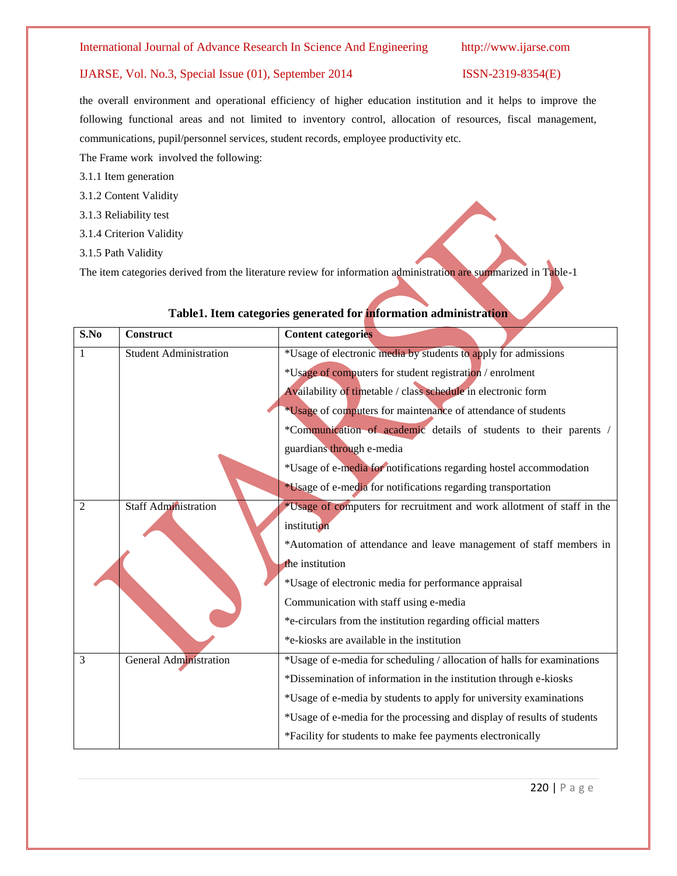the overall environment and operational efficiency of higher education institution and it helps to improve the following functional areas and not limited to inventory control, allocation of resources, fiscal management, communications, pupil/personnel services, student records, employee productivity etc.

The Frame work involved the following:

- 3.1.1 Item generation
- 3.1.2 Content Validity
- 3.1.3 Reliability test
- 3.1.4 Criterion Validity
- 3.1.5 Path Validity

The item categories derived from the literature review for information administration are summarized in Table-1

| S.No           | <b>Construct</b>              | <b>Content categories</b>                                               |
|----------------|-------------------------------|-------------------------------------------------------------------------|
| 1              | <b>Student Administration</b> | *Usage of electronic media by students to apply for admissions          |
|                |                               | *Usage of computers for student registration / enrolment                |
|                |                               | Availability of timetable / class schedule in electronic form           |
|                |                               | *Usage of computers for maintenance of attendance of students           |
|                |                               | *Communication of academic details of students to their parents /       |
|                |                               | guardians through e-media                                               |
|                |                               | *Usage of e-media for notifications regarding hostel accommodation      |
|                |                               | *Usage of e-media for notifications regarding transportation            |
| $\overline{2}$ | <b>Staff Administration</b>   | *Usage of computers for recruitment and work allotment of staff in the  |
|                |                               | institution                                                             |
|                |                               | *Automation of attendance and leave management of staff members in      |
|                |                               | the institution                                                         |
|                |                               | *Usage of electronic media for performance appraisal                    |
|                |                               | Communication with staff using e-media                                  |
|                |                               | *e-circulars from the institution regarding official matters            |
|                |                               | *e-kiosks are available in the institution                              |
| 3              | General Administration        | *Usage of e-media for scheduling / allocation of halls for examinations |
|                |                               | *Dissemination of information in the institution through e-kiosks       |
|                |                               | *Usage of e-media by students to apply for university examinations      |
|                |                               | *Usage of e-media for the processing and display of results of students |
|                |                               | *Facility for students to make fee payments electronically              |

# **Table1. Item categories generated for information administration**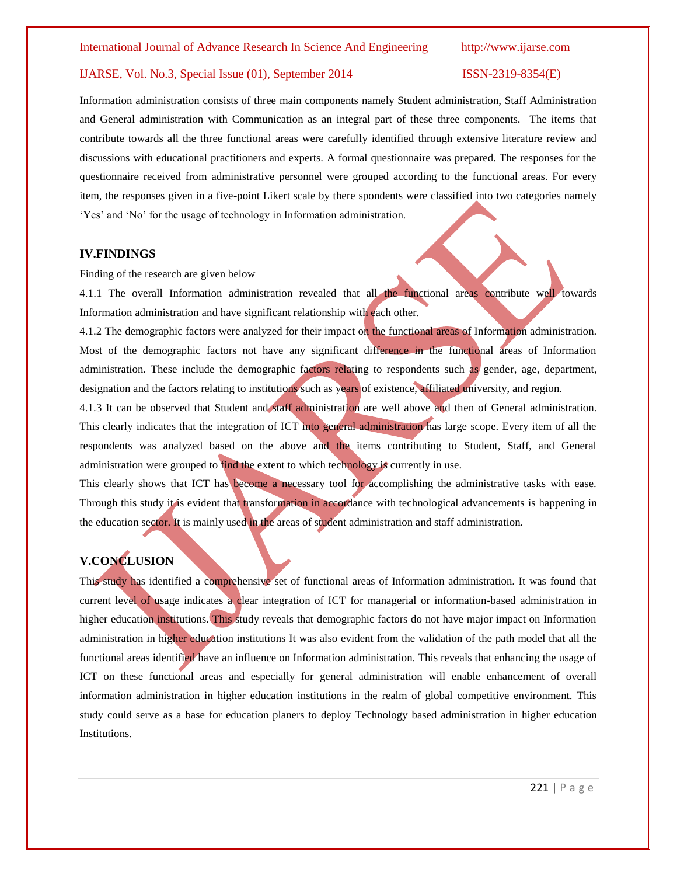Information administration consists of three main components namely Student administration, Staff Administration and General administration with Communication as an integral part of these three components. The items that contribute towards all the three functional areas were carefully identified through extensive literature review and discussions with educational practitioners and experts. A formal questionnaire was prepared. The responses for the questionnaire received from administrative personnel were grouped according to the functional areas. For every item, the responses given in a five-point Likert scale by there spondents were classified into two categories namely "Yes" and "No" for the usage of technology in Information administration.

#### **IV.FINDINGS**

Finding of the research are given below

4.1.1 The overall Information administration revealed that all the functional areas contribute well towards Information administration and have significant relationship with each other.

4.1.2 The demographic factors were analyzed for their impact on the functional areas of Information administration. Most of the demographic factors not have any significant difference in the functional areas of Information administration. These include the demographic factors relating to respondents such as gender, age, department, designation and the factors relating to institutions such as years of existence, affiliated university, and region.

4.1.3 It can be observed that Student and staff administration are well above and then of General administration. This clearly indicates that the integration of ICT into general administration has large scope. Every item of all the respondents was analyzed based on the above and the items contributing to Student, Staff, and General administration were grouped to find the extent to which technology is currently in use.

This clearly shows that ICT has become a necessary tool for accomplishing the administrative tasks with ease. Through this study it is evident that transformation in accordance with technological advancements is happening in the education sector. It is mainly used in the areas of student administration and staff administration.

# **V.CONCLUSION**

This study has identified a comprehensive set of functional areas of Information administration. It was found that current level of usage indicates a clear integration of ICT for managerial or information-based administration in higher education institutions. This study reveals that demographic factors do not have major impact on Information administration in higher education institutions It was also evident from the validation of the path model that all the functional areas identified have an influence on Information administration. This reveals that enhancing the usage of ICT on these functional areas and especially for general administration will enable enhancement of overall information administration in higher education institutions in the realm of global competitive environment. This study could serve as a base for education planers to deploy Technology based administration in higher education Institutions.